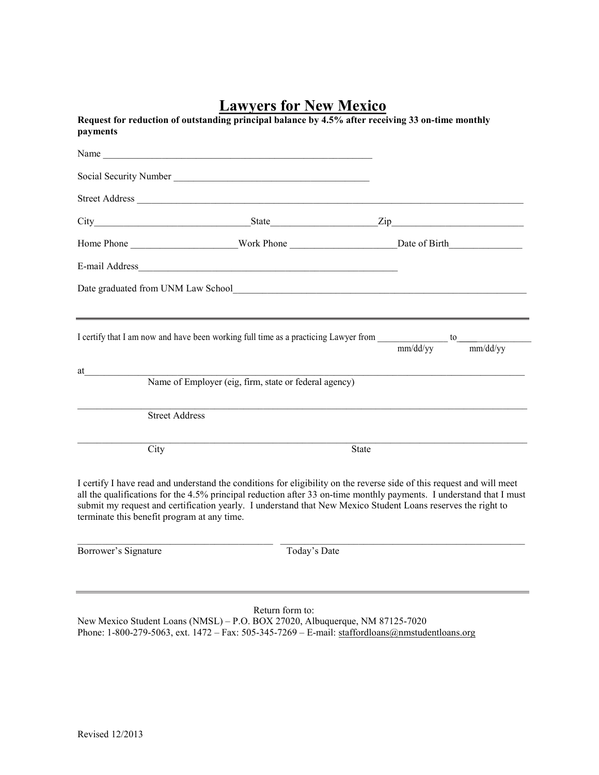# **Lawyers for New Mexico**

|                                                                     | Name and the same state of the same state of the same state of the same state of the same state of the same state of the same state of the same state of the same state of the same state of the same state of the same state |                                                                                                                                                                                                                                                                                                                                                              |
|---------------------------------------------------------------------|-------------------------------------------------------------------------------------------------------------------------------------------------------------------------------------------------------------------------------|--------------------------------------------------------------------------------------------------------------------------------------------------------------------------------------------------------------------------------------------------------------------------------------------------------------------------------------------------------------|
|                                                                     |                                                                                                                                                                                                                               |                                                                                                                                                                                                                                                                                                                                                              |
|                                                                     |                                                                                                                                                                                                                               |                                                                                                                                                                                                                                                                                                                                                              |
|                                                                     |                                                                                                                                                                                                                               |                                                                                                                                                                                                                                                                                                                                                              |
|                                                                     |                                                                                                                                                                                                                               | Home Phone __________________________Work Phone ______________________________Date of Birth                                                                                                                                                                                                                                                                  |
|                                                                     |                                                                                                                                                                                                                               |                                                                                                                                                                                                                                                                                                                                                              |
|                                                                     |                                                                                                                                                                                                                               |                                                                                                                                                                                                                                                                                                                                                              |
|                                                                     |                                                                                                                                                                                                                               |                                                                                                                                                                                                                                                                                                                                                              |
| at                                                                  | Name of Employer (eig, firm, state or federal agency)                                                                                                                                                                         | I certify that I am now and have been working full time as a practicing Lawyer from $\frac{1}{\text{mm}/\text{dd}/\text{yy}}$ to $\frac{1}{\text{mm}/\text{dd}/\text{yy}}$<br>mm/dd/yy                                                                                                                                                                       |
| <b>Street Address</b>                                               |                                                                                                                                                                                                                               |                                                                                                                                                                                                                                                                                                                                                              |
|                                                                     |                                                                                                                                                                                                                               |                                                                                                                                                                                                                                                                                                                                                              |
| City                                                                |                                                                                                                                                                                                                               | State                                                                                                                                                                                                                                                                                                                                                        |
|                                                                     |                                                                                                                                                                                                                               | I certify I have read and understand the conditions for eligibility on the reverse side of this request and will meet<br>all the qualifications for the 4.5% principal reduction after 33 on-time monthly payments. I understand that I must<br>submit my request and certification yearly. I understand that New Mexico Student Loans reserves the right to |
| terminate this benefit program at any time.<br>Borrower's Signature | Today's Date                                                                                                                                                                                                                  |                                                                                                                                                                                                                                                                                                                                                              |

Return form to: New Mexico Student Loans (NMSL) – P.O. BOX 27020, Albuquerque, NM 87125-7020 Phone: 1-800-279-5063, ext. 1472 – Fax: 505-345-7269 – E-mail: <u>staffordloans@nmstudentloans.org</u>